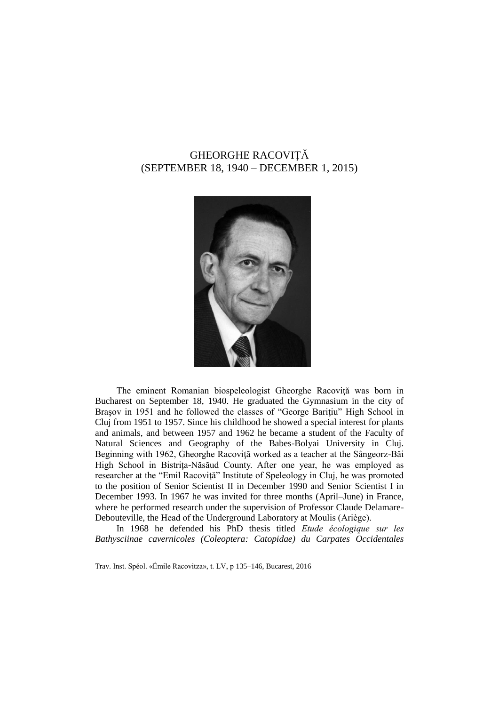# GHEORGHE RACOVIŢĂ (SEPTEMBER 18, 1940 – DECEMBER 1, 2015)



The eminent Romanian biospeleologist Gheorghe Racovită was born in Bucharest on September 18, 1940. He graduated the Gymnasium in the city of Brasov in 1951 and he followed the classes of "George Baritiu" High School in Cluj from 1951 to 1957. Since his childhood he showed a special interest for plants and animals, and between 1957 and 1962 he became a student of the Faculty of Natural Sciences and Geography of the Babes-Bolyai University in Cluj. Beginning with 1962, Gheorghe Racoviţă worked as a teacher at the Sângeorz-Băi High School in Bistriţa-Năsăud County. After one year, he was employed as researcher at the "Emil Racoviţă" Institute of Speleology in Cluj, he was promoted to the position of Senior Scientist II in December 1990 and Senior Scientist I in December 1993. In 1967 he was invited for three months (April–June) in France, where he performed research under the supervision of Professor Claude Delamare-Debouteville, the Head of the Underground Laboratory at Moulis (Ariège).

In 1968 he defended his PhD thesis titled *Etude écologique sur les Bathysciinae cavernicoles (Coleoptera: Catopidae) du Carpates Occidentales* 

Trav. Inst. Spéol. «Émile Racovitza», t. LV, p 135–146, Bucarest, 2016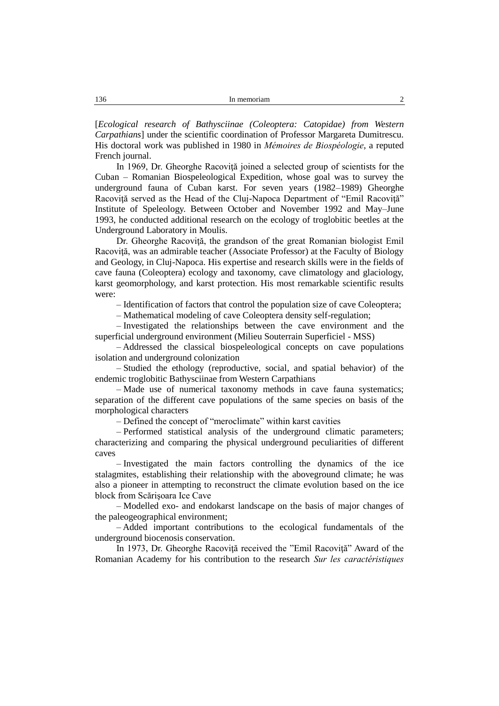[*Ecological research of Bathysciinae (Coleoptera: Catopidae) from Western Carpathians*] under the scientific coordination of Professor Margareta Dumitrescu. His doctoral work was published in 1980 in *Mémoires de Biospéologie*, a reputed French journal.

In 1969, Dr. Gheorghe Racovită joined a selected group of scientists for the Cuban – Romanian Biospeleological Expedition, whose goal was to survey the underground fauna of Cuban karst. For seven years (1982–1989) Gheorghe Racoviţă served as the Head of the Cluj-Napoca Department of "Emil Racoviţă" Institute of Speleology. Between October and November 1992 and May–June 1993, he conducted additional research on the ecology of troglobitic beetles at the Underground Laboratory in Moulis.

Dr. Gheorghe Racoviţă, the grandson of the great Romanian biologist Emil Racoviţă, was an admirable teacher (Associate Professor) at the Faculty of Biology and Geology, in Cluj-Napoca. His expertise and research skills were in the fields of cave fauna (Coleoptera) ecology and taxonomy, cave climatology and glaciology, karst geomorphology, and karst protection. His most remarkable scientific results were:

– Identification of factors that control the population size of cave Coleoptera;

– Mathematical modeling of cave Coleoptera density self-regulation;

– Investigated the relationships between the cave environment and the superficial underground environment (Milieu Souterrain Superficiel - MSS)

– Addressed the classical biospeleological concepts on cave populations isolation and underground colonization

– Studied the ethology (reproductive, social, and spatial behavior) of the endemic troglobitic Bathysciinae from Western Carpathians

– Made use of numerical taxonomy methods in cave fauna systematics; separation of the different cave populations of the same species on basis of the morphological characters

– Defined the concept of "meroclimate" within karst cavities

– Performed statistical analysis of the underground climatic parameters; characterizing and comparing the physical underground peculiarities of different caves

– Investigated the main factors controlling the dynamics of the ice stalagmites, establishing their relationship with the aboveground climate; he was also a pioneer in attempting to reconstruct the climate evolution based on the ice block from Scărişoara Ice Cave

– Modelled exo- and endokarst landscape on the basis of major changes of the paleogeographical environment;

– Added important contributions to the ecological fundamentals of the underground biocenosis conservation.

In 1973, Dr. Gheorghe Racoviţă received the "Emil Racoviţă" Award of the Romanian Academy for his contribution to the research *Sur les caractéristiques*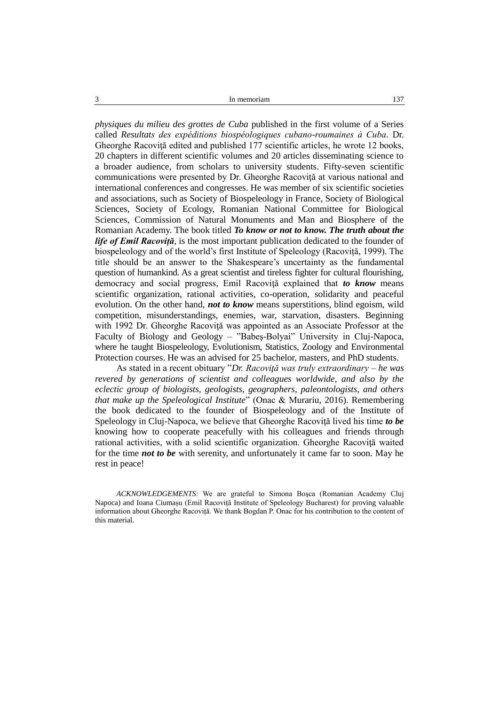*physiques du milieu des grottes de Cuba* published in the first volume of a Series called *Resultats des expéditions biospéologiques cubano-roumaines à Cuba*. Dr. Gheorghe Racovită edited and published 177 scientific articles, he wrote 12 books, 20 chapters in different scientific volumes and 20 articles disseminating science to a broader audience, from scholars to university students. Fifty-seven scientific communications were presented by Dr. Gheorghe Racoviţă at various national and international conferences and congresses. He was member of six scientific societies and associations, such as Society of Biospeleology in France, Society of Biological Sciences, Society of Ecology, Romanian National Committee for Biological Sciences, Commission of Natural Monuments and Man and Biosphere of the Romanian Academy. The book titled *To know or not to know. The truth about the life of Emil Racoviță*, is the most important publication dedicated to the founder of biospeleology and of the world's first Institute of Speleology (Racoviță, 1999). The title should be an answer to the Shakespeare's uncertainty as the fundamental question of humankind. As a great scientist and tireless fighter for cultural flourishing, democracy and social progress, Emil Racoviţă explained that *to know* means scientific organization, rational activities, co-operation, solidarity and peaceful evolution. On the other hand, *not to know* means superstitions, blind egoism, wild competition, misunderstandings, enemies, war, starvation, disasters. Beginning with 1992 Dr. Gheorghe Racoviţă was appointed as an Associate Professor at the Faculty of Biology and Geology – "Babeş-Bolyai" University in Cluj-Napoca, where he taught Biospeleology, Evolutionism, Statistics, Zoology and Environmental Protection courses. He was an advised for 25 bachelor, masters, and PhD students.

As stated in a recent obituary "*Dr. Racoviţă was truly extraordinary – he was revered by generations of scientist and colleagues worldwide, and also by the eclectic group of biologists, geologists, geographers, paleontologists, and others that make up the Speleological Institute*" (Onac & Murariu, 2016). Remembering the book dedicated to the founder of Biospeleology and of the Institute of Speleology in Cluj-Napoca, we believe that Gheorghe Racovită lived his time *to be* knowing how to cooperate peacefully with his colleagues and friends through rational activities, with a solid scientific organization. Gheorghe Racoviţă waited for the time *not to be* with serenity, and unfortunately it came far to soon. May he rest in peace!

*ACKNOWLEDGEMENTS*: We are grateful to Simona Boşca (Romanian Academy Cluj Napoca) and Ioana Ciumașu (Emil Racoviță Institute of Speleology Bucharest) for proving valuable information about Gheorghe Racoviță. We thank Bogdan P. Onac for his contribution to the content of this material.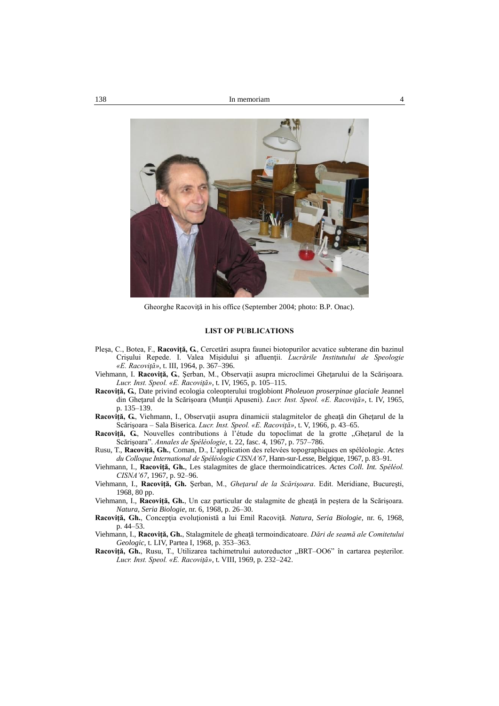

Gheorghe Racoviţă in his office (September 2004; photo: B.P. Onac).

#### **LIST OF PUBLICATIONS**

- Pleşa, C., Botea, F., **Racoviţă, G.**, Cercetări asupra faunei biotopurilor acvatice subterane din bazinul Crişului Repede. I. Valea Mişidului şi afluenţii. *Lucrările Institutului de Speologie «E. Racoviţă»*, t. III, 1964, p. 367–396.
- Viehmann, I. **Racoviţă, G.**, Şerban, M., Observaţii asupra microclimei Gheţarului de la Scărişoara. *Lucr. Inst. Speol. «E. Racoviţă»*, t. IV, 1965, p. 105–115.
- **Racoviţă, G.**, Date privind ecologia coleopterului troglobiont *Pholeuon proserpinae glaciale* Jeannel din Gheţarul de la Scărişoara (Munţii Apuseni). *Lucr. Inst. Speol. «E. Racoviţă»*, t. IV, 1965, p. 135–139.
- **Racoviţă, G.**, Viehmann, I., Observaţii asupra dinamicii stalagmitelor de gheaţă din Gheţarul de la Scărişoara – Sala Biserica. *Lucr. Inst. Speol. «E. Racoviţă»*, t. V, 1966, p. 43–65.
- Racoviță, G., Nouvelles contributions à l'étude du topoclimat de la grotte "Ghețarul de la Scărişoara". *Annales de Spéléologie*, t. 22, fasc. 4, 1967, p. 757–786.
- Rusu, T., **Racoviţă, Gh.**, Coman, D., L'application des relevées topographiques en spéléologie. *Actes du Colloque International de Spéléologie CISNA'67*, Hann-sur-Lesse, Belgique, 1967, p. 83–91.
- Viehmann, I., **Racoviţă, Gh.**, Les stalagmites de glace thermoindicatrices. *Actes Coll. Int. Spéléol. CISNA'67*, 1967, p. 92–96.
- Viehmann, I., **Racoviţă, Gh.** Şerban, M., *Gheţarul de la Scărişoara*. Edit. Meridiane, Bucureşti, 1968, 80 pp.
- Viehmann, I., **Racoviţă, Gh.**, Un caz particular de stalagmite de gheaţă în peştera de la Scărişoara. *Natura, Seria Biologie*, nr. 6, 1968, p. 26–30.
- **Racoviţă, Gh.**, Concepţia evoluţionistă a lui Emil Racoviţă. *Natura, Seria Biologie*, nr. 6, 1968, p. 44–53.
- Viehmann, I., **Racoviţă, Gh.**, Stalagmitele de gheaţă termoindicatoare. *Dări de seamă ale Comitetului Geologic*, t. LIV, Partea I, 1968, p. 353–363.
- Racoviță, Gh., Rusu, T., Utilizarea tachimetrului autoreductor "BRT-OO6" în cartarea peșterilor. *Lucr. Inst. Speol. «E. Racoviţă»*, t. VIII, 1969, p. 232–242.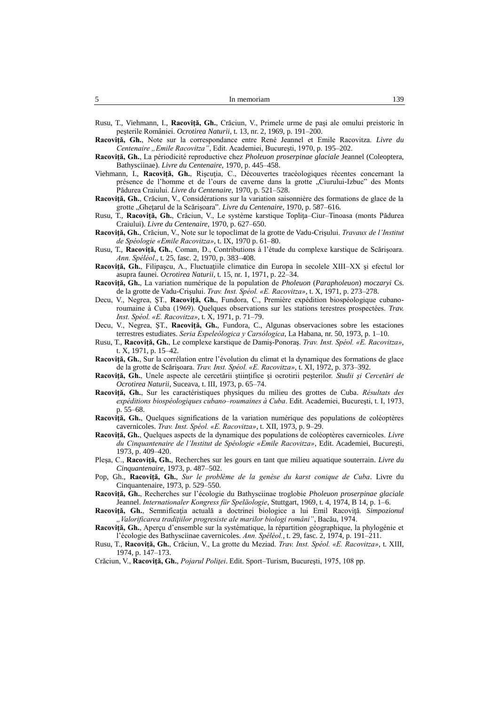| -<br>. . | In memoriam | 30 |
|----------|-------------|----|
|          |             |    |

- Rusu, T., Viehmann, I., **Racoviţă, Gh.**, Crăciun, V., Primele urme de paşi ale omului preistoric în peşterile României. *Ocrotirea Naturii*, t. 13, nr. 2, 1969, p. 191–200.
- **Racoviţă, Gh.**, Note sur la correspondance entre René Jeannel et Emile Racovitza. *Livre du Centenaire "Emile Racovitza"*, Edit. Academiei, Bucureşti, 1970, p. 195–202.
- **Racoviţă, Gh.**, La périodicité reproductive chez *Pholeuon proserpinae glaciale* Jeannel (Coleoptera, Bathysciinae). *Livre du Centenaire*, 1970, p. 445–458.
- Viehmann, I., Racoviță, Gh., Rișcuția, C., Découvertes traceologiques récentes concernant la présence de l'homme et de l'ours de caverne dans la grotte "Ciurului-Izbuc" des Monts Pădurea Craiului. *Livre du Centenaire*, 1970, p. 521–528.
- **Racoviţă, Gh.**, Crăciun, V., Considérations sur la variation saisonnière des formations de glace de la grotte "Gheţarul de la Scărişoara". *Livre du Centenaire*, 1970, p. 587–616.
- Rusu, T., **Racoviţă, Gh.**, Crăciun, V., Le système karstique Topliţa–Ciur–Tinoasa (monts Pădurea Craiului). *Livre du Centenaire*, 1970, p. 627–650.
- **Racoviţă, Gh.**, Crăciun, V., Note sur le topoclimat de la grotte de Vadu-Crişului. *Travaux de l'Institut de Spéologie «Emile Racovitza»*, t. IX, 1970 p. 61–80.
- Rusu, T., **Racoviţă, Gh.**, Coman, D., Contributions à l'étude du complexe karstique de Scărişoara. *Ann. Spéléol*., t. 25, fasc. 2, 1970, p. 383–408.
- **Racoviţă, Gh.**, Filipaşcu, A., Fluctuaţiile climatice din Europa în secolele XIII–XX şi efectul lor asupra faunei. *Ocrotirea Naturii*, t. 15, nr. 1, 1971, p. 22–34.
- **Racoviţă, Gh.**, La variation numérique de la population de *Pholeuon* (*Parapholeuon*) *moczaryi* Cs. de la grotte de Vadu-Crişului. *Trav. Inst. Spéol. «E. Racovitza»*, t. X, 1971, p. 273–278.
- Decu, V., Negrea, ŞT., **Racoviţă, Gh.**, Fundora, C., Première expédition biospéologique cubanoroumaine à Cuba (1969). Quelques observations sur les stations terestres prospectées. *Trav. Inst. Spéol. «E. Racovitza»*, t. X, 1971, p. 71–79.
- Decu, V., Negrea, ŞT., **Racoviţă, Gh.**, Fundora, C., Algunas observaciones sobre les estaciones terrestres estudiates. *Seria Espeleólogica y Carsólogica*, La Habana, nr. 50, 1973, p. 1–10.
- Rusu, T., **Racoviţă, Gh.**, Le complexe karstique de Damiş-Ponoraş. *Trav. Inst. Spéol. «E. Racovitza»*, t. X, 1971, p. 15–42.
- **Racoviţă, Gh.**, Sur la corrélation entre l'évolution du climat et la dynamique des formations de glace de la grotte de Scărişoara. *Trav. Inst. Spéol. «E. Racovitza»*, t. XI, 1972, p. 373–392.
- **Racoviţă, Gh.**, Unele aspecte ale cercetării ştiinţifice şi ocrotirii peşterilor. *Studii şi Cercetări de Ocrotirea Naturii*, Suceava, t. III, 1973, p. 65–74.
- **Racoviţă, Gh.**, Sur les caractéristiques physiques du milieu des grottes de Cuba. *Résultats des expéditions biospéologiques cubano–roumaines à Cuba*. Edit. Academiei, Bucureşti, t. I, 1973, p. 55–68.
- **Racoviţă, Gh.**, Quelques significations de la variation numérique des populations de coléoptères cavernicoles. *Trav. Inst. Spéol. «E. Racovitza»*, t. XII, 1973, p. 9–29.
- **Racoviţă, Gh.**, Quelques aspects de la dynamique des populations de coléoptères cavernicoles. *Livre du Cinquantenaire de l'Institut de Spéologie «Emile Racovitza»*, Edit. Academiei, Bucureşti, 1973, p. 409–420.
- Pleşa, C., **Racoviţă, Gh.**, Recherches sur les gours en tant que milieu aquatique souterrain. *Livre du Cinquantenaire*, 1973, p. 487–502.
- Pop, Gh., **Racoviţă, Gh.**, *Sur le problème de la genèse du karst conique de Cuba*. Livre du Cinquantenaire, 1973, p. 529–550.
- **Racoviţă, Gh.**, Recherches sur l'écologie du Bathysciinae troglobie *Pholeuon proserpinae glaciale* Jeannel. *Internationaler Kongress für Speläologie*, Stuttgart, 1969, t. 4, 1974, B 14, p. 1–6.
- **Racovită, Gh.**, Semnificația actuală a doctrinei biologice a lui Emil Racovită. *Simpozionul "Valorificarea tradiţiilor progresiste ale marilor biologi români"*, Bacău, 1974.
- **Racoviţă, Gh.**, Aperçu d'ensemble sur la systématique, la répartition géographique, la phylogénie et l'écologie des Bathysciinae cavernicoles. *Ann. Spéléol.*, t. 29, fasc. 2, 1974, p. 191–211.
- Rusu, T., **Racoviţă, Gh.**, Crăciun, V., La grotte du Meziad. *Trav. Inst. Spéol. «E. Racovitza»*, t. XIII, 1974, p. 147–173.

Crăciun, V., **Racoviţă, Gh.**, *Pojarul Poliţei*. Edit. Sport–Turism, Bucureşti, 1975, 108 pp.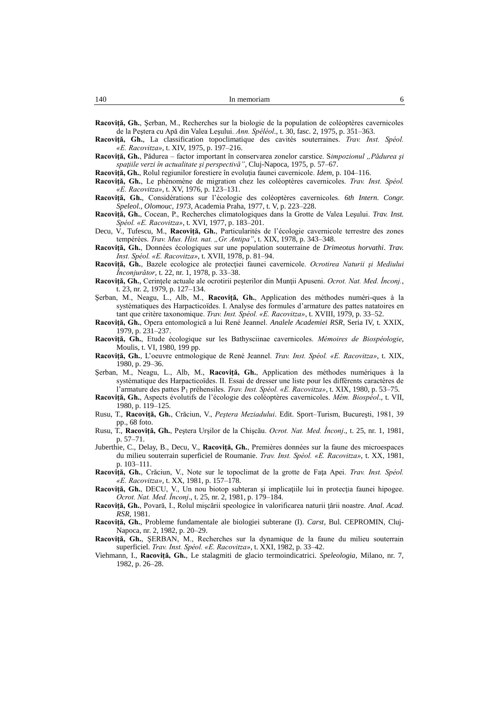Racovită, Gh., Serban, M., Recherches sur la biologie de la population de coléoptères cavernicoles de la Peştera cu Apă din Valea Leşului. *Ann. Spéléol*., t. 30, fasc. 2, 1975, p. 351–363.

- **Racoviţă, Gh.**, La classification topoclimatique des cavités souterraines. *Trav. Inst. Spéol. «E. Racovitza»*, t. XIV, 1975, p. 197–216.
- **Racoviţă, Gh.**, Pădurea factor important în conservarea zonelor carstice. S*impozionul "Pădurea şi spaţiile verzi în actualitate şi perspectivă"*, Cluj-Napoca, 1975, p. 57–67.

**Racoviţă, Gh.**, Rolul regiunilor forestiere în evoluţia faunei cavernicole. *Idem*, p. 104–116.

- **Racoviţă, Gh.**, Le phénomène de migration chez les coléoptères cavernicoles. *Trav. Inst. Spéol. «E. Racovitza»*, t. XV, 1976, p. 123–131.
- **Racoviţă, Gh.**, Considérations sur l'écologie des coléoptères cavernicoles. *6th Intern. Congr. Speleol., Olomouc, 1973*, Academia Praha, 1977, t. V, p. 223–228.
- **Racoviţă, Gh.**, Cocean, P., Recherches climatologiques dans la Grotte de Valea Leşului. *Trav. Inst. Spéol. «E. Racovitza»*, t. XVI, 1977, p. 183–201.
- Decu, V., Tufescu, M., **Racoviţă, Gh.**, Particularités de l'écologie cavernicole terrestre des zones tempérées. *Trav. Mus. Hist. nat. "Gr. Antipa"*, t. XIX, 1978, p. 343–348.
- **Racoviţă, Gh.**, Données écologiques sur une population souterraine de *Drimeotus horvathi*. *Trav. Inst. Spéol. «E. Racovitza»*, t. XVII, 1978, p. 81–94.
- **Racoviţă, Gh.**, Bazele ecologice ale protecţiei faunei cavernicole. *Ocrotirea Naturii şi Mediului Înconjurător*, t. 22, nr. 1, 1978, p. 33–38.
- **Racoviţă, Gh.**, Cerinţele actuale ale ocrotirii peşterilor din Munţii Apuseni. *Ocrot. Nat. Med. Înconj.*, t. 23, nr. 2, 1979, p. 127–134.
- Şerban, M., Neagu, L., Alb, M., **Racoviţă, Gh.**, Application des méthodes numéri-ques à la systématiques des Harpacticoïdes. I. Analyse des formules d'armature des pattes natatoires en tant que critère taxonomique. *Trav. Inst. Spéol. «E. Racovitza»*, t. XVIII, 1979, p. 33–52.
- **Racoviţă, Gh.**, Opera entomologică a lui René Jeannel. *Analele Academiei RSR*, Seria IV, t. XXIX, 1979, p. 231–237.
- **Racoviţă, Gh.**, Etude écologique sur les Bathysciinae cavernicoles. *Mémoires de Biospéologie*, Moulis, t. VI, 1980, 199 pp.
- **Racoviţă, Gh.**, L'oeuvre entmologique de René Jeannel. *Trav. Inst. Spéol. «E. Racovitza»*, t. XIX, 1980, p. 29–36.
- Şerban, M., Neagu, L., Alb, M., **Racoviţă, Gh.**, Application des méthodes numériques à la systématique des Harpacticoïdes. II. Essai de dresser une liste pour les différents caractères de l'armature des pattes P<sup>1</sup> préhensiles. *Trav. Inst. Spéol. «E. Racovitza»*, t. XIX, 1980, p. 53–75.
- **Racoviţă, Gh.**, Aspects évolutifs de l'écologie des coléoptères cavernicoles. *Mém. Biospéol*., t. VII, 1980, p. 119–125.
- Rusu, T., **Racoviţă, Gh.**, Crăciun, V., *Peştera Meziadului*. Edit. Sport–Turism, Bucureşti, 1981, 39 pp., 68 foto.
- Rusu, T., **Racoviţă, Gh.**, Peştera Urşilor de la Chişcău. *Ocrot. Nat. Med. Înconj*., t. 25, nr. 1, 1981, p. 57–71.
- Juberthie, C., Delay, B., Decu, V., **Racoviţă, Gh.**, Premières données sur la faune des microespaces du milieu souterrain superficiel de Roumanie. *Trav. Inst. Spéol. «E. Racovitza»*, t. XX, 1981, p. 103–111.
- **Racoviţă, Gh.**, Crăciun, V., Note sur le topoclimat de la grotte de Faţa Apei. *Trav. Inst. Spéol. «E. Racovitza»*, t. XX, 1981, p. 157–178.
- **Racoviţă, Gh.**, DECU, V., Un nou biotop subteran şi implicaţiile lui în protecţia faunei hipogee. *Ocrot. Nat. Med. Înconj*., t. 25, nr. 2, 1981, p. 179–184.
- **Racoviţă, Gh.**, Povară, I., Rolul mişcării speologice în valorificarea naturii ţării noastre. *Anal. Acad. RSR*, 1981.
- **Racoviţă, Gh.**, Probleme fundamentale ale biologiei subterane (I). *Carst*, Bul. CEPROMIN, Cluj-Napoca, nr. 2, 1982, p. 20–29.
- Racovită, Gh., SERBAN, M., Recherches sur la dynamique de la faune du milieu souterrain superficiel. *Trav. Inst. Spéol. «E. Racovitza»*, t. XXI, 1982, p. 33–42.
- Viehmann, I., **Racoviţă, Gh.**, Le stalagmiti de glacio termoindicatrici. *Speleologia*, Milano, nr. 7, 1982, p. 26–28.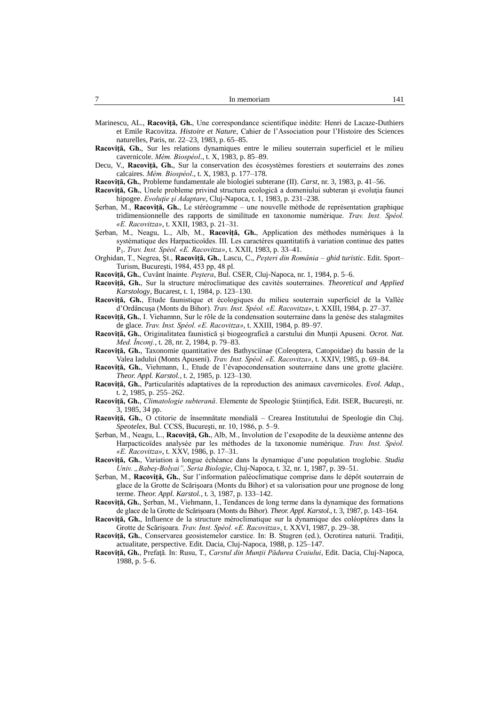| -<br>In memoriam |  |
|------------------|--|
|------------------|--|

- Marinescu, AL., **Racoviţă, Gh.**, Une correspondance scientifique inédite: Henri de Lacaze-Duthiers et Emile Racovitza. *Histoire et Nature*, Cahier de l'Association pour l'Histoire des Sciences naturelles, Paris, nr. 22–23, 1983, p. 65–85.
- **Racoviţă, Gh.**, Sur les relations dynamiques entre le milieu souterrain superficiel et le milieu cavernicole. *Mém. Biospéol*., t. X, 1983, p. 85–89.
- Decu, V., **Racoviţă, Gh.**, Sur la conservation des écosystèmes forestiers et souterrains des zones calcaires. *Mém. Biospéol*., t. X, 1983, p. 177–178.
- **Racoviţă, Gh.**, Probleme fundamentale ale biologiei subterane (II). *Carst*, nr. 3, 1983, p. 41–56.
- **Racovită, Gh.**, Unele probleme privind structura ecologică a domeniului subteran și evolutia faunei hipogee. *Evoluţie şi Adaptare*, Cluj-Napoca, t. 1, 1983, p. 231–238.
- Şerban, M., **Racoviţă, Gh.**, Le stéréogramme une nouvelle méthode de représentation graphique tridimensionnelle des rapports de similitude en taxonomie numérique. *Trav. Inst. Spéol. «E. Racovitza»*, t. XXII, 1983, p. 21–31.
- Şerban, M., Neagu, L., Alb, M., **Racoviţă, Gh.**, Application des méthodes numériques à la systématique des Harpacticoïdes. III. Les caractères quantitatifs à variation continue des pattes P1 . *Trav. Inst. Spéol. «E. Racovitza»*, t. XXII, 1983, p. 33–41.
- Orghidan, T., Negrea, Şt., **Racoviţă, Gh.**, Lascu, C., *Peşteri din România – ghid turistic*. Edit. Sport– Turism, Bucureşti, 1984, 453 pp, 48 pl.
- **Racoviţă, Gh.**, Cuvânt înainte. *Peştera*, Bul. CSER, Cluj-Napoca, nr. 1, 1984, p. 5–6.
- **Racoviţă, Gh.**, Sur la structure méroclimatique des cavités souterraines. *Theoretical and Applied Karstology*, Bucarest, t. 1, 1984, p. 123–130.
- **Racoviţă, Gh.**, Etude faunistique et écologiques du milieu souterrain superficiel de la Vallée d'Ordâncuşa (Monts du Bihor). *Trav. Inst. Spéol. «E. Racovitza»*, t. XXIII, 1984, p. 27–37.
- **Racoviţă, Gh.**, I. Viehamnn, Sur le rôle de la condensation souterraine dans la genèse des stalagmites de glace. *Trav. Inst. Spéol. «E. Racovitza»*, t. XXIII, 1984, p. 89–97.
- Racoviță, Gh., Originalitatea faunistică și biogeografică a carstului din Munții Apuseni. Ocrot. Nat. *Med. Înconj.*, t. 28, nr. 2, 1984, p. 79–83.
- **Racoviţă, Gh.**, Taxonomie quantitative des Bathysciinae (Coleoptera, Catopoidae) du bassin de la Valea Iadului (Monts Apuseni). *Trav. Inst. Spéol. «E. Racovitza»*, t. XXIV, 1985, p. 69–84.
- **Racoviţă, Gh.**, Viehmann, I., Etude de l'évapocondensation souterraine dans une grotte glacière. *Theor. Appl. Karstol.*, t. 2, 1985, p. 123–130.
- **Racoviţă, Gh.**, Particularités adaptatives de la reproduction des animaux cavernicoles. *Evol. Adap.*, t. 2, 1985, p. 255–262.
- **Racoviţă, Gh.**, *Climatologie subterană*. Elemente de Speologie Ştiinţifică, Edit. ISER, Bucureşti, nr. 3, 1985, 34 pp.
- **Racoviţă, Gh.**, O ctitorie de însemnătate mondială Crearea Institutului de Speologie din Cluj. *Speotelex*, Bul. CCSS, Bucureşti, nr. 10, 1986, p. 5–9.
- Şerban, M., Neagu, L., **Racoviţă, Gh.**, Alb, M., Involution de l'exopodite de la deuxième antenne des Harpacticoïdes analysée par les méthodes de la taxonomie numérique. *Trav. Inst. Spéol. «E. Racovitza»*, t. XXV, 1986, p. 17–31.
- **Racoviţă, Gh.**, Variation à longue échéance dans la dynamique d'une population troglobie. *Studia Univ. "Babeş-Bolyai", Seria Biologie*, Cluj-Napoca, t. 32, nr. 1, 1987, p. 39–51.
- Şerban, M., **Racoviţă, Gh.**, Sur l'information paléoclimatique comprise dans le dépôt souterrain de glace de la Grotte de Scărişoara (Monts du Bihor) et sa valorisation pour une prognose de long terme. *Theor. Appl. Karstol.*, t. 3, 1987, p. 133–142.
- **Racoviţă, Gh.**, Şerban, M., Viehmann, I., Tendances de long terme dans la dynamique des formations de glace de la Grotte de Scărişoara (Monts du Bihor). *Theor. Appl. Karstol.*, t. 3, 1987, p. 143–164.
- **Racoviţă, Gh.**, Influence de la structure méroclimatique sur la dynamique des coléoptères dans la Grotte de Scărişoara. *Trav. Inst. Spéol. «E. Racovitza»*, t. XXVI, 1987, p. 29–38.
- **Racoviţă, Gh.**, Conservarea geosistemelor carstice. In: B. Stugren (ed.), Ocrotirea naturii. Tradiţii, actualitate, perspective. Edit. Dacia, Cluj-Napoca, 1988, p. 125–147.
- **Racoviţă, Gh.**, Prefaţă. In: Rusu, T., *Carstul din Munţii Pădurea Craiului*, Edit. Dacia, Cluj-Napoca, 1988, p. 5–6.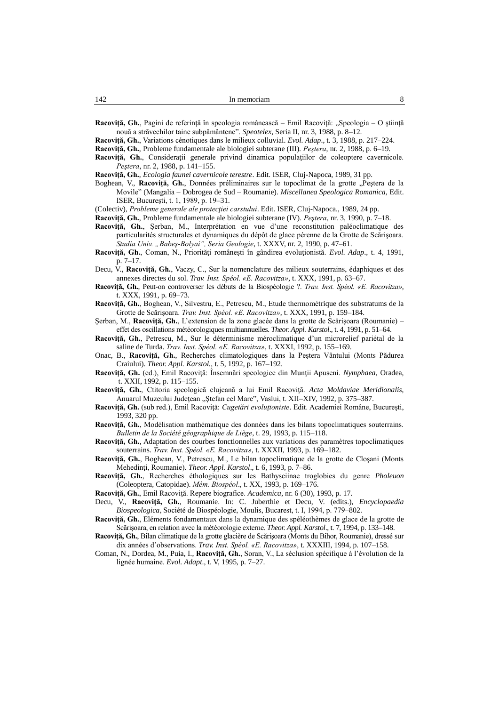Racoviță, Gh., Pagini de referință în speologia românească – Emil Racoviță: "Speologia – O știință nouă a străvechilor taine subpământene". *Speotelex*, Seria II, nr. 3, 1988, p. 8–12.

**Racoviţă, Gh.**, Variations cénotiques dans le milieux colluvial. *Evol. Adap*., t. 3, 1988, p. 217–224.

**Racoviţă, Gh.**, Probleme fundamentale ale biologiei subterane (III). *Peştera*, nr. 2, 1988, p. 6–19.

- Racoviță, Gh., Considerații generale privind dinamica populațiilor de coleoptere cavernicole. *Peştera*, nr. 2, 1988, p. 141–155.
- **Racoviţă, Gh.**, *Ecologia faunei cavernicole terestre*. Edit. ISER, Cluj-Napoca, 1989, 31 pp.
- Boghean, V., **Racoviță, Gh.**, Données préliminaires sur le topoclimat de la grotte "Peștera de la Movile" (Mangalia – Dobrogea de Sud – Roumanie). *Miscellanea Speologica Romanica*, Edit. ISER, Bucureşti, t. 1, 1989, p. 19–31.

(Colectiv), *Probleme generale ale protecţiei carstului*. Edit. ISER, Cluj-Napoca., 1989, 24 pp.

- **Racoviţă, Gh.**, Probleme fundamentale ale biologiei subterane (IV). *Peştera*, nr. 3, 1990, p. 7–18.
- **Racoviţă, Gh.**, Şerban, M., Interprétation en vue d'une reconstitution paléoclimatique des particularités structurales et dynamiques du dépôt de glace pérenne de la Grotte de Scărişoara. *Studia Univ. "Babeş-Bolyai", Seria Geologie*, t. XXXV, nr. 2, 1990, p. 47–61.
- **Racoviţă, Gh.**, Coman, N., Priorităţi româneşti în gândirea evoluţionistă. *Evol. Adap*., t. 4, 1991, p. 7–17.
- Decu, V., **Racoviţă, Gh.**, Vaczy, C., Sur la nomenclature des milieux souterrains, édaphiques et des annexes directes du sol. *Trav. Inst. Spéol. «E. Racovitza»*, t. XXX, 1991, p. 63–67.
- **Racoviţă, Gh.**, Peut-on controverser les débuts de la Biospéologie ?. *Trav. Inst. Spéol. «E. Racovitza»*, t. XXX, 1991, p. 69–73.
- **Racoviţă, Gh.**, Boghean, V., Silvestru, E., Petrescu, M., Etude thermométrique des substratums de la Grotte de Scărişoara. *Trav. Inst. Spéol. «E. Racovitza»*, t. XXX, 1991, p. 159–184.
- Şerban, M., **Racoviţă, Gh.**, L'extension de la zone glacée dans la grotte de Scărişoara (Roumanie) effet des oscillations météorologiques multiannuelles. *Theor. Appl. Karstol*., t. 4, 1991, p. 51–64.
- **Racoviţă, Gh.**, Petrescu, M., Sur le déterminisme méroclimatique d'un microrelief pariétal de la saline de Turda. *Trav. Inst. Spéol. «E. Racovitza»*, t. XXXI, 1992, p. 155–169.
- Onac, B., **Racoviţă, Gh.**, Recherches climatologiques dans la Peştera Vântului (Monts Pădurea Craiului). *Theor. Appl. Karstol.*, t. 5, 1992, p. 167–192.
- **Racoviţă, Gh.** (ed.), Emil Racoviţă: Însemnări speologice din Munţii Apuseni. *Nymphaea*, Oradea, t. XXII, 1992, p. 115–155.
- **Racoviţă, Gh.**, Ctitoria speologică clujeană a lui Emil Racoviţă. *Acta Moldaviae Meridionalis*, Anuarul Muzeului Județean "Ștefan cel Mare", Vaslui, t. XII–XIV, 1992, p. 375–387.
- **Racoviţă, Gh.** (sub red.), Emil Racoviţă: *Cugetări evoluţioniste*. Edit. Academiei Române, Bucureşti, 1993, 320 pp.
- **Racoviţă, Gh.**, Modélisation mathématique des données dans les bilans topoclimatiques souterrains. *Bulletin de la Société géographique de Liège*, t. 29, 1993, p. 115–118.
- **Racoviţă, Gh.**, Adaptation des courbes fonctionnelles aux variations des paramètres topoclimatiques souterrains. *Trav. Inst. Spéol. «E. Racovitza»*, t. XXXII, 1993, p. 169–182.
- **Racoviţă, Gh.**, Boghean, V., Petrescu, M., Le bilan topoclimatique de la grotte de Cloşani (Monts Mehedinţi, Roumanie). *Theor. Appl. Karstol*., t. 6, 1993, p. 7–86.
- **Racoviţă, Gh.**, Recherches éthologiques sur les Bathysciinae troglobies du genre *Pholeuon*  (Coleoptera, Catopidae). *Mém. Biospéol*., t. XX, 1993, p. 169–176.

**Racoviţă, Gh.**, Emil Racoviţă. Repere biografice. *Academica*, nr. 6 (30), 1993, p. 17.

- Decu, V., **Racoviţă, Gh.**, Roumanie. In: C. Juberthie et Decu, V. (edits.), *Encyclopaedia Biospeologica*, Société de Biospéologie, Moulis, Bucarest, t. I, 1994, p. 779–802.
- **Racoviţă, Gh.**, Eléments fondamentaux dans la dynamique des spéléothèmes de glace de la grotte de Scărişoara, en relation avec la météorologie externe. *Theor. Appl. Karstol*., t. 7, 1994, p. 133–148.
- **Racoviţă, Gh.**, Bilan climatique de la grotte glacière de Scărişoara (Monts du Bihor, Roumanie), dressé sur dix années d'observations. *Trav. Inst. Spéol. «E. Racovitza»*, t. XXXIII, 1994, p. 107–158.
- Coman, N., Dordea, M., Puia, I., **Racoviţă, Gh.**, Soran, V., La séclusion spécifique à l'évolution de la lignée humaine. *Evol. Adapt*., t. V, 1995, p. 7–27.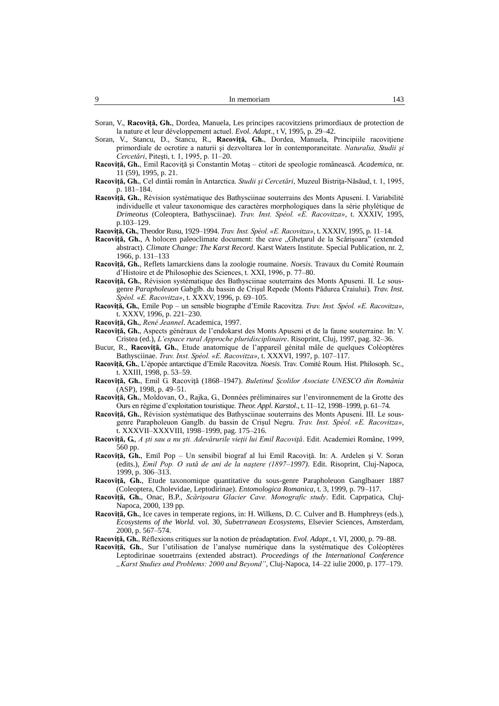| Q<br>In memoriam | $\sim$ |
|------------------|--------|
|------------------|--------|

- Soran, V., **Racoviţă, Gh.**, Dordea, Manuela, Les principes racovitziens primordiaux de protection de la nature et leur développement actuel. *Evol. Adapt*., t V, 1995, p. 29–42.
- Soran, V., Stancu, D., Stancu, R., Racoviță, Gh., Dordea, Manuela, Principiile racovițiene primordiale de ocrotire a naturii şi dezvoltarea lor în contemporaneitate. *Naturalia, Studii şi Cercetări*, Piteşti, t. 1, 1995, p. 11–20.
- **Racoviţă, Gh.**, Emil Racoviţă şi Constantin Motaş ctitori de speologie românească. *Academica*, nr. 11 (59), 1995, p. 21.
- **Racoviţă, Gh.**, Cel dintâi român în Antarctica. *Studii şi Cercetări*, Muzeul Bistriţa-Năsăud, t. 1, 1995, p. 181–184.
- **Racoviţă, Gh.**, Révision systématique des Bathysciinae souterrains des Monts Apuseni. I. Variabilité individuelle et valeur taxonomique des caractères morphologiques dans la série phylétique de *Drimeotus* (Coleoptera, Bathysciinae). *Trav. Inst. Spéol. «E. Racovitza»*, t. XXXIV, 1995, p.103–129.
- **Racoviţă, Gh.**, Theodor Rusu, 1929–1994. *Trav. Inst. Spéol. «E. Racovitza»*, t. XXXIV, 1995, p. 11–14.
- Racoviță, Gh., A holocen paleoclimate document: the cave "Ghețarul de la Scărișoara" (extended abstract). *Climate Change: The Karst Record*. Karst Waters Institute. Special Publication, nr. 2, 1966, p. 131–133
- **Racoviţă, Gh.**, Reflets lamarckiens dans la zoologie roumaine. *Noesis*. Travaux du Comité Roumain d'Histoire et de Philosophie des Sciences, t. XXI, 1996, p. 77–80.
- Racovită, Gh., Révision systématique des Bathysciinae souterrains des Monts Apuseni. II. Le sousgenre *Parapholeuon* Gabglb. du bassin de Crişul Repede (Monts Pădurea Craiului)*. Trav. Inst. Spéol. «E. Racovitza»*, t. XXXV, 1996, p. 69–105.
- **Racoviţă, Gh.**, Emile Pop un sensible biographe d'Emile Racovitza. *Trav. Inst. Spéol. «E. Racovitza»*, t. XXXV, 1996, p. 221–230.
- **Racoviţă, Gh.**, *René Jeannel*. Academica, 1997.
- **Racoviţă, Gh.**, Aspects généraux de l'endokarst des Monts Apuseni et de la faune souterraine. In: V. Cristea (ed.), *L'espace rural Approche pluridisciplinaire*. Risoprint, Cluj, 1997, pag. 32–36.
- Bucur, R., **Racoviţă, Gh.**, Etude anatomique de l'appareil génital mâle de quelques Coléoptères Bathysciinae. *Trav. Inst. Spéol. «E. Racovitza»*, t. XXXVI, 1997, p. 107–117.
- **Racoviţă, Gh.**, L'épopée antarctique d'Emile Racovitza. *Noesis*. Trav. Comité Roum. Hist. Philosoph. Sc., t. XXIII, 1998, p. 53–59.
- **Racoviţă, Gh.**, Emil G. Racoviţă (1868–1947). *Buletinul Şcolilor Asociate UNESCO din România*  (ASP), 1998, p. 49–51.
- **Racoviţă, Gh.**, Moldovan, O., Rajka, G., Données préliminaires sur l'environnement de la Grotte des Ours en régime d'exploitation touristique. *Theor. Appl. Karstol*., t. 11–12, 1998–1999, p. 61–74.
- **Racoviţă, Gh.**, Révision systématique des Bathysciinae souterrains des Monts Apuseni. III. Le sousgenre Parapholeuon Ganglb. du bassin de Crişul Negru. *Trav. Inst. Spéol. «E. Racovitza»*, t. XXXVII–XXXVIII, 1998–1999, pag. 175–216.
- **Racoviţă, G.**, *A şti sau a nu şti. Adevărurile vieţii lui Emil Racoviţă*. Edit. Academiei Române, 1999, 560 pp.
- **Racoviţă, Gh.**, Emil Pop Un sensibil biograf al lui Emil Racoviţă. In: A. Ardelen şi V. Soran (edits.), *Emil Pop. O sută de ani de la naştere (1897–1997)*. Edit. Risoprint, Cluj-Napoca, 1999, p. 306–313.
- **Racoviţă, Gh.**, Etude taxonomique quantitative du sous-genre Parapholeuon Ganglbauer 1887 (Coleoptera, Cholevidae, Leptodirinae). *Entomologica Romanica*, t. 3, 1999, p. 79–117.
- **Racoviţă, Gh.**, Onac, B.P., *Scărişoara Glacier Cave. Monografic study*. Edit. Caprpatica, Cluj-Napoca, 2000, 139 pp.
- **Racoviţă, Gh.**, Ice caves in temperate regions, in: H. Wilkens, D. C. Culver and B. Humphreys (eds.), *Ecosystems of the World.* vol. 30, *Subetrranean Ecosystems*, Elsevier Sciences, Amsterdam, 2000, p. 567–574.

**Racoviţă, Gh.**, Réflexions critiques sur la notion de préadaptation. *Evol. Adapt*., t. VI, 2000, p. 79–88.

**Racoviţă, Gh.**, Sur l'utilisation de l'analyse numérique dans la systématique des Coléoptères Leptodirinae souetrrains (extended abstract). *Proceedings of the International Conference "Karst Studies and Problems: 2000 and Beyond"*, Cluj-Napoca, 14–22 iulie 2000, p. 177–179.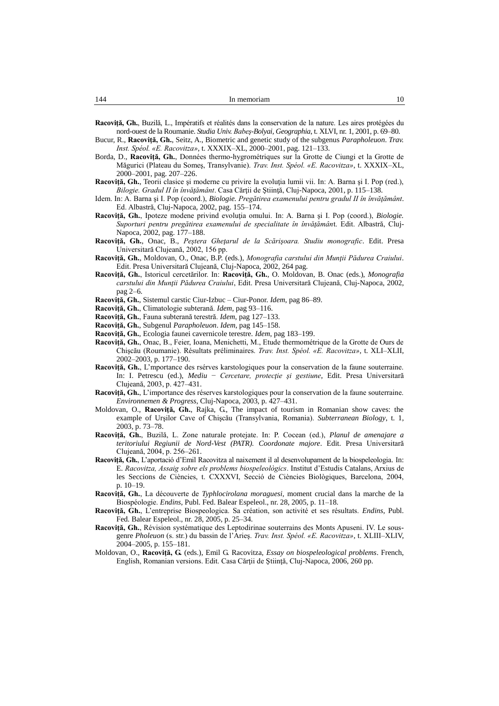| In memoriam | C |
|-------------|---|
|             |   |

- **Racoviţă, Gh.**, Buzilă, L., Impératifs et réalités dans la conservation de la nature. Les aires protégées du nord-ouest de la Roumanie. *Studia Univ. Babeş-Bolyai, Geographia*, t. XLVI, nr. 1, 2001, p. 69–80.
- Bucur, R., **Racoviţă, Gh.**, Seitz, A., Biometric and genetic study of the subgenus *Parapholeuon*. *Trav. Inst. Spéol. «E. Racovitza»*, t. XXXIX–XL, 2000–2001, pag. 121–133.
- Borda, D., **Racoviţă, Gh.**, Données thermo-hygrométriques sur la Grotte de Ciungi et la Grotte de Măgurici (Plateau du Someş, Transylvanie). *Trav. Inst. Spéol. «E. Racovitza»*, t. XXXIX–XL, 2000–2001, pag. 207–226.
- Racoviță, Gh., Teorii clasice și moderne cu privire la evoluția lumii vii. In: A. Barna și I. Pop (red.), *Bilogie. Gradul II în învăţământ*. Casa Cărţii de Ştiinţă, Cluj-Napoca, 2001, p. 115–138.
- Idem. In: A. Barna şi I. Pop (coord.), *Biologie. Pregătirea examenului pentru gradul II în învăţământ*. Ed. Albastră, Cluj-Napoca, 2002, pag. 155–174.
- **Racoviţă, Gh.**, Ipoteze modene privind evoluţia omului. In: A. Barna şi I. Pop (coord.), *Biologie. Suporturi pentru pregătirea examenului de specialitate în învăţămân*t. Edit. Albastră, Cluj-Napoca, 2002, pag. 177–188.
- **Racoviţă, Gh.**, Onac, B., *Peştera Gheţarul de la Scărişoara. Studiu monografic*. Edit. Presa Universitară Clujeană, 2002, 156 pp.
- **Racoviţă, Gh.**, Moldovan, O., Onac, B.P. (eds.), *Monografia carstului din Munţii Pădurea Craiului*. Edit. Presa Universitară Clujeană, Cluj-Napoca, 2002, 264 pag.
- **Racoviţă, Gh.**, Istoricul cercetărilor. In: **Racoviţă, Gh.**, O. Moldovan, B. Onac (eds.), *Monografia carstului din Munţii Pădurea Craiului*, Edit. Presa Universitară Clujeană, Cluj-Napoca, 2002, pag 2–6.
- **Racoviţă, Gh.**, Sistemul carstic Ciur-Izbuc Ciur-Ponor. *Idem*, pag 86–89.
- **Racoviţă, Gh.**, Climatologie subterană. *Idem*, pag 93–116.
- **Racoviţă, Gh.**, Fauna subterană terestră. *Idem*, pag 127–133.
- **Racoviţă, Gh.**, Subgenul *Parapholeuon*. *Idem*, pag 145–158.
- **Racoviţă, Gh.**, Ecologia faunei cavernicole terestre. *Idem*, pag 183–199.
- **Racoviţă, Gh.**, Onac, B., Feier, Ioana, Menichetti, M., Etude thermométrique de la Grotte de Ours de Chişcău (Roumanie). Résultats préliminaires. *Trav. Inst. Spéol. «E. Racovitza»*, t. XLI–XLII, 2002–2003, p. 177–190.
- **Racoviţă, Gh.**, L'mportance des rsérves karstologiques pour la conservation de la faune souterraine. In: I. Petrescu (ed.), *Mediu* − *Cercetare, protecţie şi gestiune*, Edit. Presa Universitară Clujeană, 2003, p. 427–431.
- **Racoviţă, Gh.**, L'importance des réserves karstologiques pour la conservation de la faune souterraine. *Environnemen & Progress*, Cluj-Napoca, 2003, p. 427–431.
- Moldovan, O., **Racovită, Gh.**, Rajka, G., The impact of tourism in Romanian show caves: the example of Urşilor Cave of Chişcău (Transylvania, Romania). *Subterranean Biology*, t. 1, 2003, p. 73–78.
- **Racoviţă, Gh.**, Buzilă, L. Zone naturale protejate. In: P. Cocean (ed.), *Planul de amenajare a teritoriului Regiunii de Nord-Vest (PATR). Coordonate majore*. Edit. Presa Universitară Clujeană, 2004, p. 256–261.
- **Racoviţă, Gh.**, L'aportació d'Emil Racovitza al naixement il al desenvolupament de la biospeleologia. In: E. *Racovitza, Assaig sobre els problems biospeleològics*. Institut d'Estudis Catalans, Arxius de les Seccions de Ciències, t. CXXXVI, Secció de Ciències Biològiques, Barcelona, 2004, p. 10–19.
- **Racoviţă, Gh.**, La découverte de *Typhlocirolana moraguesi,* moment crucial dans la marche de la Biospéologie. *Endins*, Publ. Fed. Balear Espeleol., nr. 28, 2005, p. 11–18.
- **Racoviţă, Gh.**, L'entreprise Biospeologica. Sa création, son activité et ses résultats. *Endins*, Publ. Fed. Balear Espeleol., nr. 28, 2005, p. 25–34.
- **Racoviţă, Gh.**, Révision systématique des Leptodirinae souterrains des Monts Apuseni. IV. Le sousgenre *Pholeuon* (s. str.) du bassin de l'Arieş. *Trav. Inst. Spéol. «E. Racovitza»*, t. XLIII–XLIV, 2004–2005, p. 155–181.
- Moldovan, O., **Racoviţă, G.** (eds.), Emil G. Racovitza, *Essay on biospeleological problems*. French, English, Romanian versions. Edit. Casa Cărţii de Ştiinţă, Cluj-Napoca, 2006, 260 pp.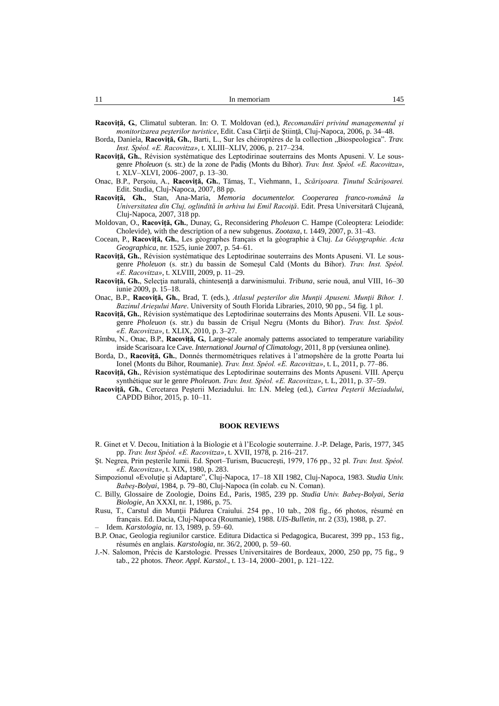| . .<br>In memoriam<br>. . | $\Lambda^{\kappa}$ |
|---------------------------|--------------------|
|---------------------------|--------------------|

**Racoviţă, G.**, Climatul subteran. In: O. T. Moldovan (ed.), *Recomandări privind managementul şi monitorizarea peşterilor turistice*, Edit. Casa Cărţii de Ştiinţă, Cluj-Napoca, 2006, p. 34–48.

- Borda, Daniela, Racoviță, Gh., Barti, L., Sur les chéiroptères de la collection "Biospeologica". *Trav. Inst. Spéol. «E. Racovitza»*, t. XLIII–XLIV, 2006, p. 217–234.
- **Racoviţă, Gh.**, Révision systématique des Leptodirinae souterrains des Monts Apuseni. V. Le sousgenre *Pholeuon* (s. str.) de la zone de Padiş (Monts du Bihor). *Trav. Inst. Spéol. «E. Racovitza»*, t. XLV–XLVI, 2006–2007, p. 13–30.
- Onac, B.P., Perşoiu, A., **Racoviţă, Gh.**, Tămaş, T., Viehmann, I., *Scărişoara. Ţinutul Scărişoarei.* Edit. Studia, Cluj-Napoca, 2007, 88 pp.
- **Racoviţă, Gh.**, Stan, Ana-Maria, *Memoria documentelor. Cooperarea franco-română la Universitatea din Cluj, oglindită în arhiva lui Emil Racoiţă*. Edit. Presa Universitară Clujeană, Cluj-Napoca, 2007, 318 pp.
- Moldovan, O., **Racoviţă, Gh.**, Dunay, G., Reconsidering *Pholeuon* C. Hampe (Coleoptera: Leiodide: Cholevide), with the description of a new subgenus. *Zootaxa*, t. 1449, 2007, p. 31–43.
- Cocean, P., **Racoviţă, Gh.**, Les géographes français et la géographie à Cluj. *La Géopgraphie. Acta Geographica*, nr. 1525, iunie 2007, p. 54–61.
- **Racoviţă, Gh.**, Révision systématique des Leptodirinae souterrains des Monts Apuseni. VI. Le sousgenre *Pholeuon* (s. str.) du bassin de Someşul Cald (Monts du Bihor). *Trav. Inst. Spéol. «E. Racovitza»*, t. XLVIII, 2009, p. 11–29.
- **Racoviţă, Gh.**, Selecţia naturală, chintesenţă a darwinismului. *Tribuna*, serie nouă, anul VIII, 16–30 iunie 2009, p. 15–18.
- Onac, B.P., **Racoviţă, Gh.**, Brad, T. (eds.), *Atlasul peşterilor din Munţii Apuseni. Munţii Bihor. 1. Bazinul Arieşului Mare*. University of South Florida Libraries, 2010, 90 pp., 54 fig. 1 pl.
- **Racoviţă, Gh.**, Révision systématique des Leptodirinae souterrains des Monts Apuseni. VII. Le sousgenre *Pholeuon* (s. str.) du bassin de Crişul Negru (Monts du Bihor). *Trav. Inst. Spéol. «E. Racovitza»*, t. XLIX, 2010, p. 3–27.
- Rîmbu, N., Onac, B.P., **Racoviţă, G.**, Large-scale anomaly patterns associated to temperature variability inside Scarisoara Ice Cave. *International Journal of Climatology*, 2011, 8 pp (versiunea online).
- Borda, D., **Racovită, Gh.**, Donnés thermométriques relatives à l'atmopshère de la grotte Poarta lui Ionel (Monts du Bihor, Roumanie). *Trav. Inst. Spéol. «E. Racovitza»*, t. L, 2011, p. 77–86.
- Racovită, Gh., Révision systématique des Leptodirinae souterrains des Monts Apuseni. VIII. Apercu synthétique sur le genre *Pholeuon*. *Trav. Inst. Spéol. «E. Racovitza»*, t. L, 2011, p. 37–59.
- **Racoviţă, Gh.**, Cercetarea Peşterii Meziadului. In: I.N. Meleg (ed.), *Cartea Peşterii Meziadului*, CAPDD Bihor, 2015, p. 10–11.

## **BOOK REVIEWS**

- R. Ginet et V. Decou, Initiation à la Biologie et à l'Ecologie souterraine. J.-P. Delage, Paris, 1977, 345 pp. *Trav. Inst Spéol. «E. Racovitza»*, t. XVII, 1978, p. 216–217.
- Şt. Negrea, Prin peşterile lumii. Ed. Sport–Turism, Bucucreşti, 1979, 176 pp., 32 pl. *Trav. Inst. Spéol. «E. Racovitza»*, t. XIX, 1980, p. 283.
- Simpozionul «Evoluție și Adaptare", Cluj-Napoca, 17-18 XII 1982, Cluj-Napoca, 1983. *Studia Univ. Babeş-Bolyai*, 1984, p. 79–80, Cluj-Napoca (în colab. cu N. Coman).
- C. Billy, Glossaire de Zoologie, Doins Ed., Paris, 1985, 239 pp. *Studia Univ. Babeş-Bolyai, Seria Biologie*, An XXXI, nr. 1, 1986, p. 75.
- Rusu, T., Carstul din Muntii Pădurea Craiului. 254 pp., 10 tab., 208 fig., 66 photos, résumé en français. Ed. Dacia, Cluj-Napoca (Roumanie), 1988. *UIS-Bulletin*, nr. 2 (33), 1988, p. 27.
- Idem. *Karstologia*, nr. 13, 1989, p. 59–60. B.P. Onac, Geologia regiunilor carstice. Editura Didactica si Pedagogica, Bucarest, 399 pp., 153 fig.,
- résumés en anglais. *Karstologia*, nr. 36/2, 2000, p. 59–60.
- J.-N. Salomon, Précis de Karstologie. Presses Universitaires de Bordeaux, 2000, 250 pp, 75 fig., 9 tab., 22 photos. *Theor. Appl. Karstol*., t. 13–14, 2000–2001, p. 121–122.